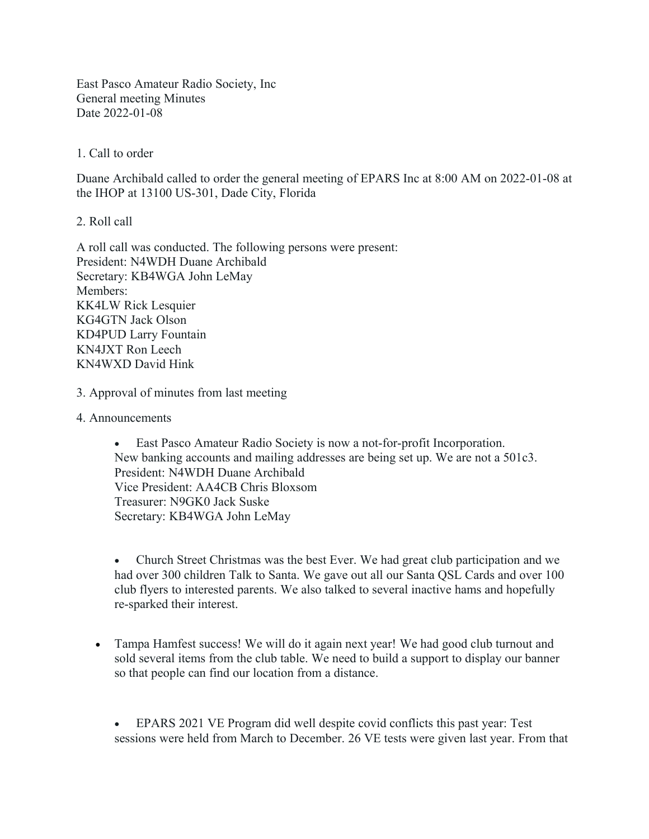East Pasco Amateur Radio Society, Inc General meeting Minutes Date 2022-01-08

1. Call to order

Duane Archibald called to order the general meeting of EPARS Inc at 8:00 AM on 2022-01-08 at the IHOP at 13100 US-301, Dade City, Florida

2. Roll call

A roll call was conducted. The following persons were present: President: N4WDH Duane Archibald Secretary: KB4WGA John LeMay Members: KK4LW Rick Lesquier KG4GTN Jack Olson KD4PUD Larry Fountain KN4JXT Ron Leech KN4WXD David Hink

- 3. Approval of minutes from last meeting
- 4. Announcements

· East Pasco Amateur Radio Society is now a not-for-profit Incorporation. New banking accounts and mailing addresses are being set up. We are not a 501c3. President: N4WDH Duane Archibald Vice President: AA4CB Chris Bloxsom Treasurer: N9GK0 Jack Suske Secretary: KB4WGA John LeMay

· Church Street Christmas was the best Ever. We had great club participation and we had over 300 children Talk to Santa. We gave out all our Santa QSL Cards and over 100 club flyers to interested parents. We also talked to several inactive hams and hopefully re-sparked their interest.

 Tampa Hamfest success! We will do it again next year! We had good club turnout and sold several items from the club table. We need to build a support to display our banner so that people can find our location from a distance.

· EPARS 2021 VE Program did well despite covid conflicts this past year: Test sessions were held from March to December. 26 VE tests were given last year. From that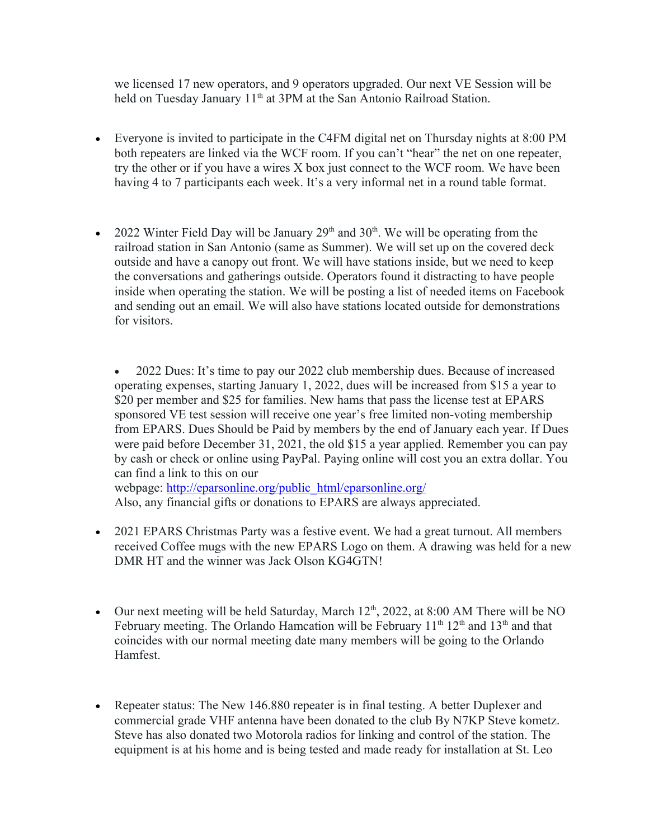we licensed 17 new operators, and 9 operators upgraded. Our next VE Session will be held on Tuesday January 11<sup>th</sup> at 3PM at the San Antonio Railroad Station.

- Everyone is invited to participate in the C4FM digital net on Thursday nights at 8:00 PM both repeaters are linked via the WCF room. If you can't "hear" the net on one repeater, try the other or if you have a wires X box just connect to the WCF room. We have been having 4 to 7 participants each week. It's a very informal net in a round table format.
- 2022 Winter Field Day will be January  $29<sup>th</sup>$  and  $30<sup>th</sup>$ . We will be operating from the railroad station in San Antonio (same as Summer). We will set up on the covered deck outside and have a canopy out front. We will have stations inside, but we need to keep the conversations and gatherings outside. Operators found it distracting to have people inside when operating the station. We will be posting a list of needed items on Facebook and sending out an email. We will also have stations located outside for demonstrations for visitors.

· 2022 Dues: It's time to pay our 2022 club membership dues. Because of increased operating expenses, starting January 1, 2022, dues will be increased from \$15 a year to \$20 per member and \$25 for families. New hams that pass the license test at EPARS sponsored VE test session will receive one year's free limited non-voting membership from EPARS. Dues Should be Paid by members by the end of January each year. If Dues were paid before December 31, 2021, the old \$15 a year applied. Remember you can pay by cash or check or online using PayPal. Paying online will cost you an extra dollar. You can find a link to this on our webpage: [http://eparsonline.org/public\\_html/eparsonline.org/](http://eparsonline.org/public_html/eparsonline.org/)

Also, any financial gifts or donations to EPARS are always appreciated.

- 2021 EPARS Christmas Party was a festive event. We had a great turnout. All members received Coffee mugs with the new EPARS Logo on them. A drawing was held for a new DMR HT and the winner was Jack Olson KG4GTN!
- Our next meeting will be held Saturday, March  $12<sup>th</sup>$ , 2022, at 8:00 AM There will be NO February meeting. The Orlando Hamcation will be February  $11<sup>th</sup> 12<sup>th</sup>$  and  $13<sup>th</sup>$  and that coincides with our normal meeting date many members will be going to the Orlando Hamfest.
- Repeater status: The New 146.880 repeater is in final testing. A better Duplexer and commercial grade VHF antenna have been donated to the club By N7KP Steve kometz. Steve has also donated two Motorola radios for linking and control of the station. The equipment is at his home and is being tested and made ready for installation at St. Leo